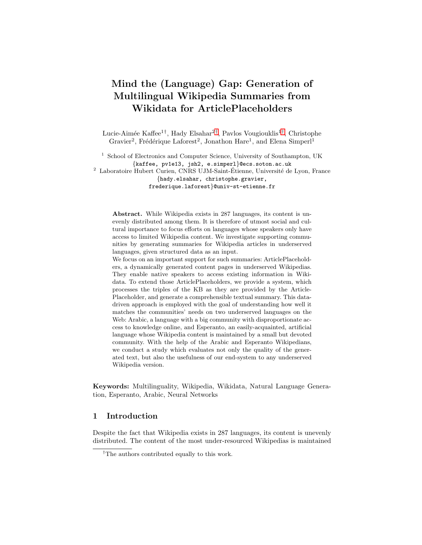# <span id="page-0-1"></span><span id="page-0-0"></span>Mind the (Language) Gap: Generation of Multilingual Wikipedia Summaries from Wikidata for ArticlePlaceholders

Lucie-Aimée Kaffee<sup>1[†](#page-0-0)</sup>, Hady Elsahar<sup>2†</sup>, Pavlos Vougiouklis<sup>1†</sup>, Christophe Gravier<sup>2</sup>, Frédérique Laforest<sup>2</sup>, Jonathon Hare<sup>1</sup>, and Elena Simperl<sup>1</sup>

<sup>1</sup> School of Electronics and Computer Science, University of Southampton, UK {kaffee, pv1e13, jsh2, e.simperl}@ecs.soton.ac.uk

 $2$  Laboratoire Hubert Curien, CNRS UJM-Saint-Étienne, Université de Lyon, France {hady.elsahar, christophe.gravier,

frederique.laforest}@univ-st-etienne.fr

Abstract. While Wikipedia exists in 287 languages, its content is unevenly distributed among them. It is therefore of utmost social and cultural importance to focus efforts on languages whose speakers only have access to limited Wikipedia content. We investigate supporting communities by generating summaries for Wikipedia articles in underserved languages, given structured data as an input.

We focus on an important support for such summaries: ArticlePlaceholders, a dynamically generated content pages in underserved Wikipedias. They enable native speakers to access existing information in Wikidata. To extend those ArticlePlaceholders, we provide a system, which processes the triples of the KB as they are provided by the Article-Placeholder, and generate a comprehensible textual summary. This datadriven approach is employed with the goal of understanding how well it matches the communities' needs on two underserved languages on the Web: Arabic, a language with a big community with disproportionate access to knowledge online, and Esperanto, an easily-acquainted, artificial language whose Wikipedia content is maintained by a small but devoted community. With the help of the Arabic and Esperanto Wikipedians, we conduct a study which evaluates not only the quality of the generated text, but also the usefulness of our end-system to any underserved Wikipedia version.

Keywords: Multilinguality, Wikipedia, Wikidata, Natural Language Generation, Esperanto, Arabic, Neural Networks

# 1 Introduction

Despite the fact that Wikipedia exists in 287 languages, its content is unevenly distributed. The content of the most under-resourced Wikipedias is maintained

<sup>&</sup>lt;sup>†</sup>The authors contributed equally to this work.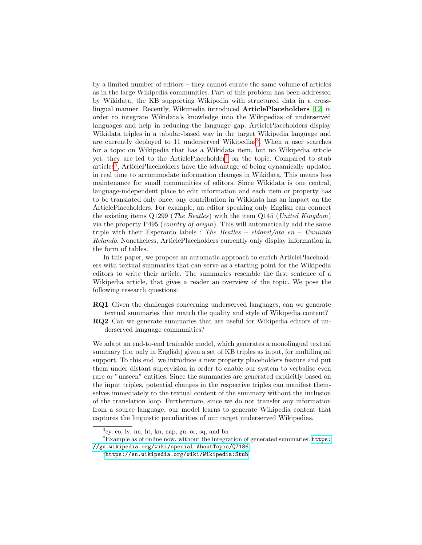by a limited number of editors – they cannot curate the same volume of articles as in the large Wikipedia communities. Part of this problem has been addressed by Wikidata, the KB supporting Wikipedia with structured data in a crosslingual manner. Recently, Wikimedia introduced ArticlePlaceholders [\[12\]](#page-13-0) in order to integrate Wikidata's knowledge into the Wikipedias of underserved languages and help in reducing the language gap. ArticlePlaceholders display Wikidata triples in a tabular-based way in the target Wikipedia language and are currently deployed to 11 underserved Wikipedias<sup>[3](#page-0-1)</sup>. When a user searches for a topic on Wikipedia that has a Wikidata item, but no Wikipedia article yet, they are led to the ArticlePlaceholder<sup>[4](#page-0-1)</sup> on the topic. Compared to stub articles[5](#page-0-1) , ArticlePlaceholders have the advantage of being dynamically updated in real time to accommodate information changes in Wikidata. This means less maintenance for small communities of editors. Since Wikidata is one central, language-independent place to edit information and each item or property has to be translated only once, any contribution in Wikidata has an impact on the ArticlePlaceholders. For example, an editor speaking only English can connect the existing items Q1299 (The Beatles) with the item Q145 (United Kingdom) via the property P495 (country of origin). This will automatically add the same triple with their Esperanto labels : The Beatles – eldonit/ata en – Unuiinta Relando. Nonetheless, ArticlePlaceholders currently only display information in the form of tables.

In this paper, we propose an automatic approach to enrich ArticlePlaceholders with textual summaries that can serve as a starting point for the Wikipedia editors to write their article. The summaries resemble the first sentence of a Wikipedia article, that gives a reader an overview of the topic. We pose the following research questions:

- RQ1 Given the challenges concerning underserved languages, can we generate textual summaries that match the quality and style of Wikipedia content?
- RQ2 Can we generate summaries that are useful for Wikipedia editors of underserved language communities?

We adapt an end-to-end trainable model, which generates a monolingual textual summary (i.e. only in English) given a set of KB triples as input, for multilingual support. To this end, we introduce a new property placeholders feature and put them under distant supervision in order to enable our system to verbalise even rare or "unseen" entities. Since the summaries are generated explicitly based on the input triples, potential changes in the respective triples can manifest themselves immediately to the textual content of the summary without the inclusion of the translation loop. Furthermore, since we do not transfer any information from a source language, our model learns to generate Wikipedia content that captures the linguistic peculiarities of our target underserved Wikipedias.

<sup>4</sup>Example as of online now, without the integration of generated summaries: [https:](https://gu.wikipedia.org/wiki/special:AboutTopic/Q7186)

<sup>3</sup> cy, eo, lv, nn, ht, kn, nap, gu, or, sq, and bn

[<sup>//</sup>gu.wikipedia.org/wiki/special:AboutTopic/Q7186](https://gu.wikipedia.org/wiki/special:AboutTopic/Q7186)

 $^5$ <https://en.wikipedia.org/wiki/Wikipedia:Stub>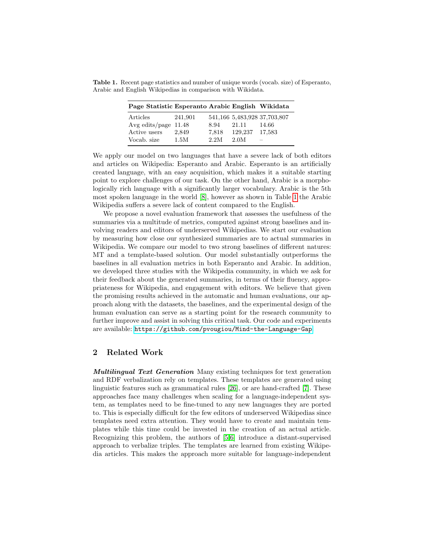Table 1. Recent page statistics and number of unique words (vocab. size) of Esperanto, Arabic and English Wikipedias in comparison with Wikidata.

<span id="page-2-0"></span>

| Page Statistic Esperanto Arabic English Wikidata |         |       |         |                              |
|--------------------------------------------------|---------|-------|---------|------------------------------|
| Articles                                         | 241,901 |       |         | 541,166 5,483,928 37,703,807 |
| Avg edits/page $11.48$                           |         | 8.94  | 21.11   | 14.66                        |
| Active users                                     | 2,849   | 7,818 | 129.237 | 17.583                       |
| Vocab, size                                      | 1.5M    | 2.2M  | 2.0M    | $\overline{\phantom{a}}$     |

We apply our model on two languages that have a severe lack of both editors and articles on Wikipedia: Esperanto and Arabic. Esperanto is an artificially created language, with an easy acquisition, which makes it a suitable starting point to explore challenges of our task. On the other hand, Arabic is a morphologically rich language with a significantly larger vocabulary. Arabic is the 5th most spoken language in the world [\[8\]](#page-13-1), however as shown in Table [1](#page-2-0) the Arabic Wikipedia suffers a severe lack of content compared to the English.

We propose a novel evaluation framework that assesses the usefulness of the summaries via a multitude of metrics, computed against strong baselines and involving readers and editors of underserved Wikipedias. We start our evaluation by measuring how close our synthesized summaries are to actual summaries in Wikipedia. We compare our model to two strong baselines of different natures: MT and a template-based solution. Our model substantially outperforms the baselines in all evaluation metrics in both Esperanto and Arabic. In addition, we developed three studies with the Wikipedia community, in which we ask for their feedback about the generated summaries, in terms of their fluency, appropriateness for Wikipedia, and engagement with editors. We believe that given the promising results achieved in the automatic and human evaluations, our approach along with the datasets, the baselines, and the experimental design of the human evaluation can serve as a starting point for the research community to further improve and assist in solving this critical task. Our code and experiments are available: <https://github.com/pvougiou/Mind-the-Language-Gap>.

# 2 Related Work

Multilingual Text Generation Many existing techniques for text generation and RDF verbalization rely on templates. These templates are generated using linguistic features such as grammatical rules [\[26\]](#page-14-0), or are hand-crafted [\[7\]](#page-13-2). These approaches face many challenges when scaling for a language-independent system, as templates need to be fine-tuned to any new languages they are ported to. This is especially difficult for the few editors of underserved Wikipedias since templates need extra attention. They would have to create and maintain templates while this time could be invested in the creation of an actual article. Recognizing this problem, the authors of [\[5,](#page-13-3)[6\]](#page-13-4) introduce a distant-supervised approach to verbalize triples. The templates are learned from existing Wikipedia articles. This makes the approach more suitable for language-independent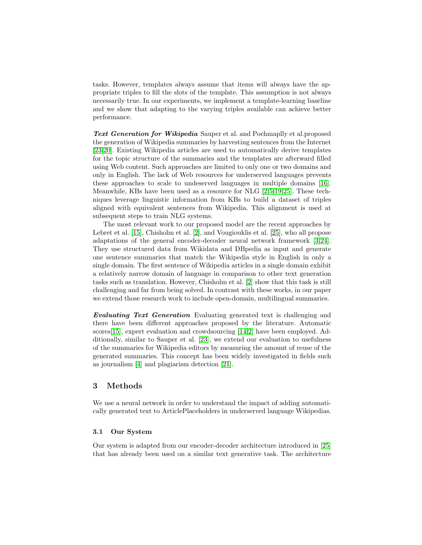tasks. However, templates always assume that items will always have the appropriate triples to fill the slots of the template. This assumption is not always necessarily true. In our experiments, we implement a template-learning baseline and we show that adapting to the varying triples available can achieve better performance.

**Text Generation for Wikipedia** Sauper et al. and Pochmaplly et al.proposed the generation of Wikipedia summaries by harvesting sentences from the Internet [\[23](#page-14-1)[,20\]](#page-14-2). Existing Wikipedia articles are used to automatically derive templates for the topic structure of the summaries and the templates are afterward filled using Web content. Such approaches are limited to only one or two domains and only in English. The lack of Web resources for underserved languages prevents these approaches to scale to undeserved languages in multiple domains [\[16\]](#page-14-3). Meanwhile, KBs have been used as a resource for NLG [\[2,](#page-13-5)[5,](#page-13-3)[19](#page-14-4)[,25\]](#page-14-5). These techniques leverage linguistic information from KBs to build a dataset of triples aligned with equivalent sentences from Wikipedia. This alignment is used at subsequent steps to train NLG systems.

The most relevant work to our proposed model are the recent approaches by Lebret et al. [\[15\]](#page-14-6), Chisholm et al. [\[2\]](#page-13-5), and Vougiouklis et al. [\[25\]](#page-14-5), who all propose adaptations of the general encoder-decoder neural network framework [\[3,](#page-13-6)[24\]](#page-14-7). They use structured data from Wikidata and DBpedia as input and generate one sentence summaries that match the Wikipedia style in English in only a single domain. The first sentence of Wikipedia articles in a single domain exhibit a relatively narrow domain of language in comparison to other text generation tasks such as translation. However, Chisholm et al. [\[2\]](#page-13-5) show that this task is still challenging and far from being solved. In contrast with these works, in our paper we extend those research work to include open-domain, multilingual summaries.

Evaluating Text Generation Evaluating generated text is challenging and there have been different approaches proposed by the literature. Automatic scores[\[15\]](#page-14-6), expert evaluation and crowdsourcing [\[14,](#page-13-7)[2\]](#page-13-5) have been employed. Additionally, similar to Sauper et al. [\[23\]](#page-14-1), we extend our evaluation to usefulness of the summaries for Wikipedia editors by measuring the amount of reuse of the generated summaries. This concept has been widely investigated in fields such as journalism [\[4\]](#page-13-8) and plagiarism detection [\[21\]](#page-14-8).

# 3 Methods

We use a neural network in order to understand the impact of adding automatically generated text to ArticlePlaceholders in underserved language Wikipedias.

## 3.1 Our System

Our system is adapted from our encoder-decoder architecture introduced in [\[25\]](#page-14-5) that has already been used on a similar text generative task. The architecture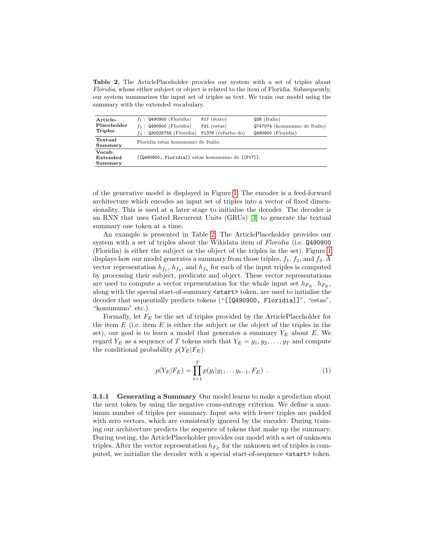<span id="page-4-0"></span>Table 2. The ArticlePlaceholder provides our system with a set of triples about Floridia, whose either subject or object is related to the item of Floridia. Subsequently, our system summarizes the input set of triples as text. We train our model using the summary with the extended vocabulary.

| Article-                      | $f_1$ : 0490900 (Floridia)                       | $P17$ ( $\text{ŝtato}$ ) | $Q38$ (Italio)<br>0747074 (komunumo de Italio) |  |  |
|-------------------------------|--------------------------------------------------|--------------------------|------------------------------------------------|--|--|
| Placeholder                   | $f_2$ : 0490900 (Floridia)                       | $P31$ (estas)            |                                                |  |  |
| <b>Triples</b>                | $f_3$ : 030025755 (Floridia)                     | P1376 (ĉefurbo de)       | 0490900 (Floridia)                             |  |  |
| Textual<br>Summary            | Floridia estas komunumo de Italio.               |                          |                                                |  |  |
| Vocab.<br>Extended<br>Summary | [[0490900, Floridia]] estas komunumo de [[P17]]. |                          |                                                |  |  |
|                               |                                                  |                          |                                                |  |  |

of the generative model is displayed in Figure [1.](#page-5-0) The encoder is a feed-forward architecture which encodes an input set of triples into a vector of fixed dimensionality. This is used at a later stage to initialise the decoder. The decoder is an RNN that uses Gated Recurrent Units (GRUs) [\[3\]](#page-13-6) to generate the textual summary one token at a time.

An example is presented in Table [2.](#page-4-0) The ArticlePlaceholder provides our system with a set of triples about the Wikidata item of Floridia (i.e. Q490900 (Floridia) is either the subject or the object of the triples in the set). Figure [1](#page-5-0) displays how our model generates a summary from those triples,  $f_1$ ,  $f_2$ , and  $f_3$ . A vector representation  $h_{f_1}, h_{f_2}$ , and  $h_{f_3}$  for each of the input triples is computed by processing their subject, predicate and object. These vector representations are used to compute a vector representation for the whole input set  $h_{F_E}$ .  $h_{F_E}$ , along with the special start-of-summary <start> token, are used to initialise the decoder that sequentially predicts tokens ("[[Q490900, Floridia]]", "estas", "komunumo" etc.).

Formally, let  $F_E$  be the set of triples provided by the ArticlePlaceholder for the item  $E$  (i.e. item  $E$  is either the subject or the object of the triples in the set), our goal is to learn a model that generates a summary  $Y_E$  about E. We regard  $Y_E$  as a sequence of T tokens such that  $Y_E = y_1, y_2, \ldots, y_T$  and compute the conditional probability  $p(Y_E|F_E)$ :

$$
p(Y_E|F_E) = \prod_{t=1}^{T} p(y_t|y_1, \dots y_{t-1}, F_E) \tag{1}
$$

**3.1.1 Generating a Summary** Our model learns to make a prediction about the next token by using the negative cross-entropy criterion. We define a maximum number of triples per summary. Input sets with fewer triples are padded with zero vectors, which are consistently ignored by the encoder. During training our architecture predicts the sequence of tokens that make up the summary. During testing, the ArticlePlaceholder provides our model with a set of unknown triples. After the vector representation  $h_{F_E}$  for the unknown set of triples is computed, we initialize the decoder with a special start-of-sequence <start> token.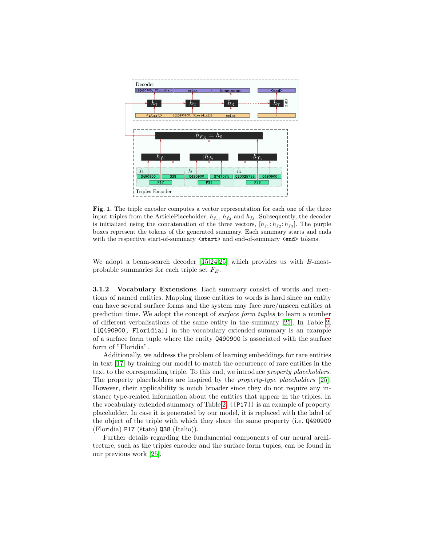

<span id="page-5-0"></span>Fig. 1. The triple encoder computes a vector representation for each one of the three input triples from the ArticlePlaceholder,  $h_{f_1}$ ,  $h_{f_2}$  and  $h_{f_3}$ . Subsequently, the decoder is initialized using the concatenation of the three vectors,  $[h_{f_1}; h_{f_2}; h_{f_3}]$ . The purple boxes represent the tokens of the generated summary. Each summary starts and ends with the respective start-of-summary  $\text{start}$  and end-of-summary  $\text{send}$  tokens.

We adopt a beam-search decoder [\[15](#page-14-6)[,24,](#page-14-7)[25\]](#page-14-5) which provides us with B-mostprobable summaries for each triple set  $F_E$ .

<span id="page-5-1"></span>3.1.2 Vocabulary Extensions Each summary consist of words and mentions of named entities. Mapping those entities to words is hard since an entity can have several surface forms and the system may face rare/unseen entities at prediction time. We adopt the concept of surface form tuples to learn a number of different verbalisations of the same entity in the summary [\[25\]](#page-14-5). In Table [2,](#page-4-0) [[Q490900, Floridia]] in the vocabulary extended summary is an example of a surface form tuple where the entity Q490900 is associated with the surface form of "Floridia".

Additionally, we address the problem of learning embeddings for rare entities in text [\[17\]](#page-14-9) by training our model to match the occurrence of rare entities in the text to the corresponding triple. To this end, we introduce *property placeholders*. The property placeholders are inspired by the property-type placeholders [\[25\]](#page-14-5). However, their applicability is much broader since they do not require any instance type-related information about the entities that appear in the triples. In the vocabulary extended summary of Table [2,](#page-4-0) [[P17]] is an example of property placeholder. In case it is generated by our model, it is replaced with the label of the object of the triple with which they share the same property (i.e. Q490900  $(Floridia)$  P17  $(\text{ŝtato})$  Q38  $(Italio)$ ).

Further details regarding the fundamental components of our neural architecture, such as the triples encoder and the surface form tuples, can be found in our previous work [\[25\]](#page-14-5).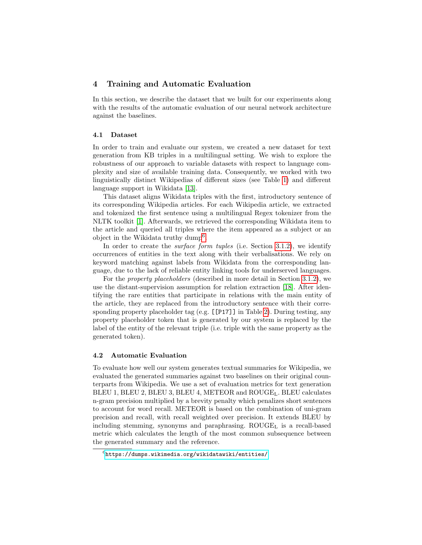## 4 Training and Automatic Evaluation

In this section, we describe the dataset that we built for our experiments along with the results of the automatic evaluation of our neural network architecture against the baselines.

## 4.1 Dataset

In order to train and evaluate our system, we created a new dataset for text generation from KB triples in a multilingual setting. We wish to explore the robustness of our approach to variable datasets with respect to language complexity and size of available training data. Consequently, we worked with two linguistically distinct Wikipedias of different sizes (see Table [1\)](#page-2-0) and different language support in Wikidata [\[13\]](#page-13-9).

This dataset aligns Wikidata triples with the first, introductory sentence of its corresponding Wikipedia articles. For each Wikipedia article, we extracted and tokenized the first sentence using a multilingual Regex tokenizer from the NLTK toolkit [\[1\]](#page-13-10). Afterwards, we retrieved the corresponding Wikidata item to the article and queried all triples where the item appeared as a subject or an object in the Wikidata truthy dump<sup>[6](#page-0-1)</sup>.

In order to create the *surface form tuples* (i.e. Section [3.1.2\)](#page-5-1), we identify occurrences of entities in the text along with their verbalisations. We rely on keyword matching against labels from Wikidata from the corresponding language, due to the lack of reliable entity linking tools for underserved languages.

For the property placeholders (described in more detail in Section [3.1.2\)](#page-5-1), we use the distant-supervision assumption for relation extraction [\[18\]](#page-14-10). After identifying the rare entities that participate in relations with the main entity of the article, they are replaced from the introductory sentence with their corresponding property placeholder tag (e.g.  $[$  [P17]] in Table [2\)](#page-4-0). During testing, any property placeholder token that is generated by our system is replaced by the label of the entity of the relevant triple (i.e. triple with the same property as the generated token).

## 4.2 Automatic Evaluation

To evaluate how well our system generates textual summaries for Wikipedia, we evaluated the generated summaries against two baselines on their original counterparts from Wikipedia. We use a set of evaluation metrics for text generation BLEU 1, BLEU 2, BLEU 3, BLEU 4, METEOR and ROUGEL. BLEU calculates n-gram precision multiplied by a brevity penalty which penalizes short sentences to account for word recall. METEOR is based on the combination of uni-gram precision and recall, with recall weighted over precision. It extends BLEU by including stemming, synonyms and paraphrasing. ROUGE<sup>L</sup> is a recall-based metric which calculates the length of the most common subsequence between the generated summary and the reference.

 $^6$ <https://dumps.wikimedia.org/wikidatawiki/entities/>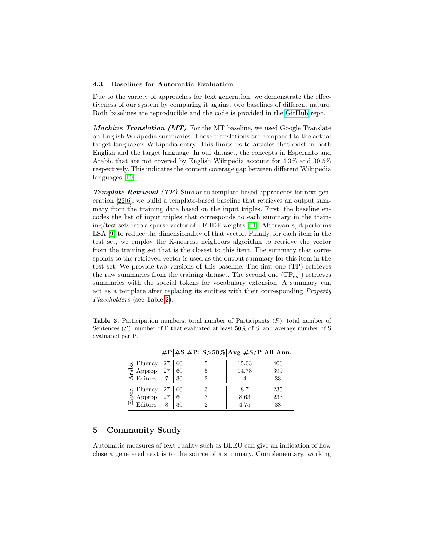#### 4.3 Baselines for Automatic Evaluation

Due to the variety of approaches for text generation, we demonstrate the effectiveness of our system by comparing it against two baselines of different nature. Both baselines are reproducible and the code is provided in the [GitHub](https://github.com/pvougiou/Mind-the-Language-Gap) repo.

**Machine Translation (MT)** For the MT baseline, we used Google Translate on English Wikipedia summaries. Those translations are compared to the actual target language's Wikipedia entry. This limits us to articles that exist in both English and the target language. In our dataset, the concepts in Esperanto and Arabic that are not covered by English Wikipedia account for 4.3% and 30.5% respectively. This indicates the content coverage gap between different Wikipedia languages [\[10\]](#page-13-11).

Template Retrieval (TP) Similar to template-based approaches for text generation [\[22,](#page-14-11)[6\]](#page-13-4), we build a template-based baseline that retrieves an output summary from the training data based on the input triples. First, the baseline encodes the list of input triples that corresponds to each summary in the training/test sets into a sparse vector of TF-IDF weights [\[11\]](#page-13-12). Afterwards, it performs LSA [\[9\]](#page-13-13) to reduce the dimensionality of that vector. Finally, for each item in the test set, we employ the K-nearest neighbors algorithm to retrieve the vector from the training set that is the closest to this item. The summary that corresponds to the retrieved vector is used as the output summary for this item in the test set. We provide two versions of this baseline. The first one (TP) retrieves the raw summaries from the training dataset. The second one  $(\text{TP}_{\text{ext}})$  retrieves summaries with the special tokens for vocabulary extension. A summary can act as a template after replacing its entities with their corresponding Property Placeholders (see Table [2\)](#page-4-0).

<span id="page-7-0"></span>**Table 3.** Participation numbers: total number of Participants  $(P)$ , total number of Sentences  $(S)$ , number of P that evaluated at least 50% of S, and average number of S evaluated per P.

|                                                                                          |               |                | $ \#\mathrm{P} \#\mathrm{S} \#\mathrm{P}\colon \mathrm{S}\text{>50\%} \mathrm{Avg\;}\#\mathrm{S}/\mathrm{P} \mathrm{All\;Ann.} $ |                     |                  |
|------------------------------------------------------------------------------------------|---------------|----------------|----------------------------------------------------------------------------------------------------------------------------------|---------------------|------------------|
|                                                                                          | 27<br>27      | 60<br>60<br>30 |                                                                                                                                  | 15.03<br>14.78      | 406<br>399<br>33 |
| $\begin{array}{c}\n\dot{\mathbf{g}} \\ \mathbf{g} \\ \mathbf{v}\n\end{array}$<br>Editors | 27<br>27<br>8 | 60<br>60<br>30 |                                                                                                                                  | 8.7<br>8.63<br>4.75 | 235<br>233<br>38 |

# 5 Community Study

Automatic measures of text quality such as BLEU can give an indication of how close a generated text is to the source of a summary. Complementary, working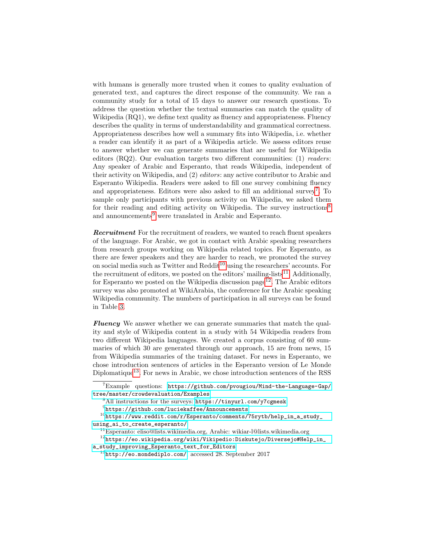with humans is generally more trusted when it comes to quality evaluation of generated text, and captures the direct response of the community. We ran a community study for a total of 15 days to answer our research questions. To address the question whether the textual summaries can match the quality of Wikipedia (RQ1), we define text quality as fluency and appropriateness. Fluency describes the quality in terms of understandability and grammatical correctness. Appropriateness describes how well a summary fits into Wikipedia, i.e. whether a reader can identify it as part of a Wikipedia article. We assess editors reuse to answer whether we can generate summaries that are useful for Wikipedia editors (RQ2). Our evaluation targets two different communities: (1) readers: Any speaker of Arabic and Esperanto, that reads Wikipedia, independent of their activity on Wikipedia, and (2) editors: any active contributor to Arabic and Esperanto Wikipedia. Readers were asked to fill one survey combining fluency and appropriateness. Editors were also asked to fill an additional survey<sup>[7](#page-0-1)</sup>. To sample only participants with previous activity on Wikipedia, we asked them for their reading and editing activity on Wikipedia. The survey instructions<sup>[8](#page-0-1)</sup> and announcements<sup>[9](#page-0-1)</sup> were translated in Arabic and Esperanto.

**Recruitment** For the recruitment of readers, we wanted to reach fluent speakers of the language. For Arabic, we got in contact with Arabic speaking researchers from research groups working on Wikipedia related topics. For Esperanto, as there are fewer speakers and they are harder to reach, we promoted the survey on social media such as Twitter and Reddit<sup>[10](#page-0-1)</sup> using the researchers' accounts. For the recruitment of editors, we posted on the editors' mailing-lists $^{11}$  $^{11}$  $^{11}$ . Additionally, for Esperanto we posted on the Wikipedia discussion page<sup>[12](#page-0-1)</sup>. The Arabic editors survey was also promoted at WikiArabia, the conference for the Arabic speaking Wikipedia community. The numbers of participation in all surveys can be found in Table [3.](#page-7-0)

**Fluency** We answer whether we can generate summaries that match the quality and style of Wikipedia content in a study with 54 Wikipedia readers from two different Wikipedia languages. We created a corpus consisting of 60 summaries of which 30 are generated through our approach, 15 are from news, 15 from Wikipedia summaries of the training dataset. For news in Esperanto, we chose introduction sentences of articles in the Esperanto version of Le Monde Diplomatique<sup>[13](#page-0-1)</sup>. For news in Arabic, we chose introduction sentences of the RSS

 $^{9}$ <https://github.com/luciekaffee/Announcements>

 $^{10}$ [https://www.reddit.com/r/Esperanto/comments/75rytb/help\\_in\\_a\\_study\\_](https://www.reddit.com/r/Esperanto/comments/75rytb/help_in_a_study_using_ai_to_create_esperanto/) [using\\_ai\\_to\\_create\\_esperanto/](https://www.reddit.com/r/Esperanto/comments/75rytb/help_in_a_study_using_ai_to_create_esperanto/)

 $^{12}$ kttps://eo.wikipedia.org/wiki/Vikipedio:Diskutejo/Diversejo#Help\_in\_ [a\\_study\\_improving\\_Esperanto\\_text\\_for\\_Editors](https://eo.wikipedia.org/wiki/Vikipedio:Diskutejo/Diversejo#Help_in_a_study_improving_Esperanto_text_for_Editors)

 $7E$ xample questions: [https://github.com/pvougiou/Mind-the-Language-Gap/](https://github.com/pvougiou/Mind-the-Language-Gap/tree/master/crowdevaluation/Examples) [tree/master/crowdevaluation/Examples](https://github.com/pvougiou/Mind-the-Language-Gap/tree/master/crowdevaluation/Examples)

<sup>&</sup>lt;sup>8</sup>All instructions for the surveys: <https://tinyurl.com/y7cgmesk>

<sup>11</sup>Esperanto: eliso@lists.wikimedia.org, Arabic: wikiar-l@lists.wikimedia.org

 $13$ <http://eo.mondediplo.com/>, accessed 28. September 2017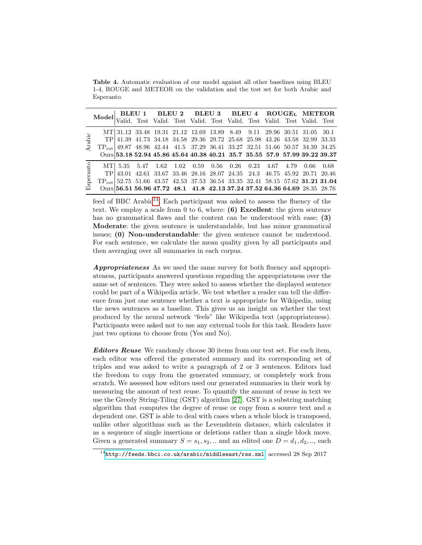| $\textbf{Model}\begin{vmatrix} \textbf{BLEU 1} & \textbf{BLEU 2} & \textbf{BLEU 3} & \textbf{BLEU 4} & \textbf{ROUGE}_L \textbf{ METEOR} \\ \text{Valid. Test Valid. Test Valid. Test Valid. Test Valid. Test Valid. Test Valid. Test$<br>MT 31.12 33.48 19.31 21.12 12.69 13.89 8.49 9.11 29.96 30.51 31.05 30.1<br>Arabic<br>TP 41.39 41.73 34.18 34.58 29.36 29.72 25.68 25.98 43.26 43.58 32.99 33.33<br>$\mathrm{TP_{ext}}\vert\,49.87\;\;48.96\;\;42.44\;\;41.5\;\;37.29\;\;36.41\;\;33.27\;\;32.51\;\;51.66\;\;50.57\;\;34.39\;\;34.25$<br>Ours 53.18 52.94 45.86 45.64 40.38 40.21 35.7 35.55 57.9 57.99 39.22 39.37 |  |
|------------------------------------------------------------------------------------------------------------------------------------------------------------------------------------------------------------------------------------------------------------------------------------------------------------------------------------------------------------------------------------------------------------------------------------------------------------------------------------------------------------------------------------------------------------------------------------------------------------------------------|--|
|                                                                                                                                                                                                                                                                                                                                                                                                                                                                                                                                                                                                                              |  |
|                                                                                                                                                                                                                                                                                                                                                                                                                                                                                                                                                                                                                              |  |
|                                                                                                                                                                                                                                                                                                                                                                                                                                                                                                                                                                                                                              |  |
|                                                                                                                                                                                                                                                                                                                                                                                                                                                                                                                                                                                                                              |  |
|                                                                                                                                                                                                                                                                                                                                                                                                                                                                                                                                                                                                                              |  |
|                                                                                                                                                                                                                                                                                                                                                                                                                                                                                                                                                                                                                              |  |
| $\label{eq:MT} \text{MT} \big  \ 5.35 \quad 5.47 \quad 1.62 \quad 1.62 \quad 0.59 \quad 0.56 \quad 0.26 \quad 0.23 \quad 4.67 \quad 4.79 \quad 0.66 \quad 0.68$                                                                                                                                                                                                                                                                                                                                                                                                                                                              |  |
| TP 43.01 42.61 33.67 33.46 28.16 28.07 24.35 24.3 46.75 45.92 20.71 20.46                                                                                                                                                                                                                                                                                                                                                                                                                                                                                                                                                    |  |
| Esperanto<br>$TP_{ext}$ 52.75 51.66 43.57 42.53 37.53 36.54 33.35 32.41 58.15 57.62 31.21 31.04                                                                                                                                                                                                                                                                                                                                                                                                                                                                                                                              |  |
| Ours 56.51 56.96 47.72 48.1 41.8 42.13 37.24 37.52 64.36 64.69 28.35 28.76                                                                                                                                                                                                                                                                                                                                                                                                                                                                                                                                                   |  |

<span id="page-9-0"></span>Table 4. Automatic evaluation of our model against all other baselines using BLEU 1-4, ROUGE and METEOR on the validation and the test set for both Arabic and Esperanto.

feed of BBC Arabic $^{14}$  $^{14}$  $^{14}$ . Each participant was asked to assess the fluency of the text. We employ a scale from 0 to 6, where: (6) Excellent: the given sentence has no grammatical flaws and the content can be understood with ease; (3) Moderate: the given sentence is understandable, but has minor grammatical issues; (0) Non-understandable: the given sentence cannot be understood. For each sentence, we calculate the mean quality given by all participants and then averaging over all summaries in each corpus.

Appropriateness As we used the same survey for both fluency and appropriateness, participants answered questions regarding the appropriateness over the same set of sentences. They were asked to assess whether the displayed sentence could be part of a Wikipedia article. We test whether a reader can tell the difference from just one sentence whether a text is appropriate for Wikipedia, using the news sentences as a baseline. This gives us an insight on whether the text produced by the neural network "feels" like Wikipedia text (appropriateness). Participants were asked not to use any external tools for this task. Readers have just two options to choose from (Yes and No).

**Editors Reuse** We randomly choose 30 items from our test set. For each item, each editor was offered the generated summary and its corresponding set of triples and was asked to write a paragraph of 2 or 3 sentences. Editors had the freedom to copy from the generated summary, or completely work from scratch. We assessed how editors used our generated summaries in their work by measuring the amount of text reuse. To quantify the amount of reuse in text we use the Greedy String-Tiling (GST) algorithm [\[27\]](#page-14-12). GST is a substring matching algorithm that computes the degree of reuse or copy from a source text and a dependent one. GST is able to deal with cases when a whole block is transposed, unlike other algorithms such as the Levenshtein distance, which calculates it as a sequence of single insertions or deletions rather than a single block move. Given a generated summary  $S = s_1, s_2, ...$  and an edited one  $D = d_1, d_2, ...$ , each

 $14$ <http://feeds.bbci.co.uk/arabic/middleeast/rss.xml>, accessed 28 Sep 2017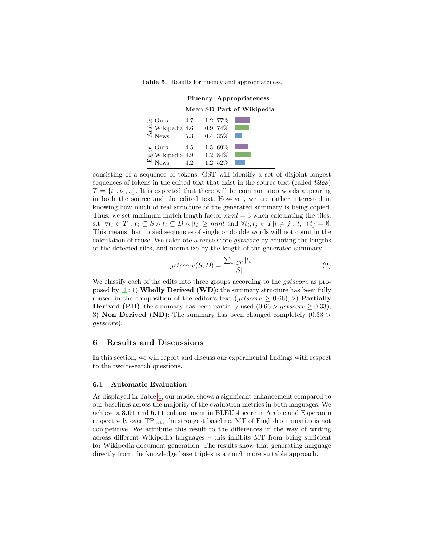|  |                                                                                                         |     | Fluency Appropriateness |  |                           |
|--|---------------------------------------------------------------------------------------------------------|-----|-------------------------|--|---------------------------|
|  |                                                                                                         |     |                         |  | Mean SD Part of Wikipedia |
|  |                                                                                                         |     | 1.2 77%                 |  |                           |
|  | $\begin{array}{c}\n 2 \text{ Ours} \\  \frac{2}{3} \text{ Wikipedia} \\  \frac{4.6}{3.3}\n \end{array}$ |     | 0.9 74%                 |  |                           |
|  |                                                                                                         |     | 0.4 35%                 |  |                           |
|  | Ours                                                                                                    | 4.5 | $1.5 69\%$              |  |                           |
|  |                                                                                                         |     | $1.2   84\%$            |  |                           |
|  | $\frac{1}{2}$ Ours<br>Wikipedia 4.9<br>$\frac{1}{4}$ News                                               |     | $1.2 52\%$              |  |                           |

<span id="page-10-0"></span>Table 5. Results for fluency and appropriateness.

consisting of a sequence of tokens, GST will identify a set of disjoint longest sequences of tokens in the edited text that exist in the source text (called  $tiles$ )  $T = \{t_1, t_2, \ldots\}$ . It is expected that there will be common stop words appearing in both the source and the edited text. However, we are rather interested in knowing how much of real structure of the generated summary is being copied. Thus, we set minimum match length factor  $mml = 3$  when calculating the tiles, s.t.  $\forall t_i \in T : t_i \subseteq S \land t_i \subseteq D \land |t_i| \geq mml$  and  $\forall t_i, t_j \in T | i \neq j : t_i \cap t_j = \emptyset$ . This means that copied sequences of single or double words will not count in the calculation of reuse. We calculate a reuse score gstscore by counting the lengths of the detected tiles, and normalize by the length of the generated summary.

$$
gstscore(S,D) = \frac{\sum_{t_i \in T} |t_i|}{|S|} \tag{2}
$$

We classify each of the edits into three groups according to the *astscore* as proposed by  $[4]: 1$  $[4]: 1$ ) Wholly Derived (WD): the summary structure has been fully reused in the composition of the editor's text ( $gstscore \geq 0.66$ ); 2) **Partially Derived (PD)**: the summary has been partially used  $(0.66 > gstscore \ge 0.33)$ ; 3) **Non Derived (ND)**: The summary has been changed completely  $(0.33 \gt$ gstscore).

## 6 Results and Discussions

In this section, we will report and discuss our experimental findings with respect to the two research questions.

#### 6.1 Automatic Evaluation

As displayed in Table [4,](#page-9-0) our model shows a significant enhancement compared to our baselines across the majority of the evaluation metrics in both languages. We achieve a 3.01 and 5.11 enhancement in BLEU 4 score in Arabic and Esperanto respectively over  $TP_{ext}$ , the strongest baseline. MT of English summaries is not competitive. We attribute this result to the differences in the way of writing across different Wikipedia languages – this inhibits MT from being sufficient for Wikipedia document generation. The results show that generating language directly from the knowledge base triples is a much more suitable approach.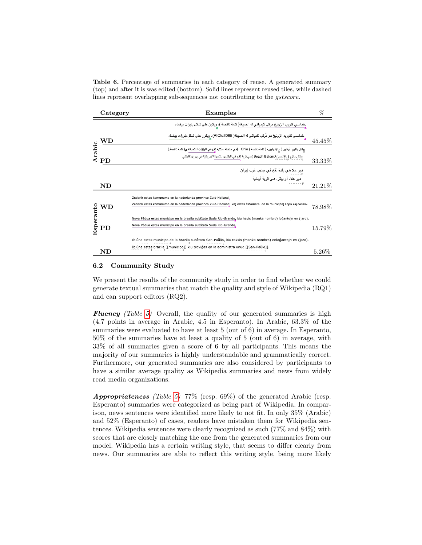<span id="page-11-0"></span>Table 6. Percentage of summaries in each category of reuse. A generated summary (top) and after it is was edited (bottom). Solid lines represent reused tiles, while dashed lines represent overlapping sub-sequences not contributing to the gstscore.

|                     | Category   | Examples                                                                                                             | %         |
|---------------------|------------|----------------------------------------------------------------------------------------------------------------------|-----------|
|                     |            | خماسـي كلوريد الزرنيخ مركب كيميائـي له الصيغة( كلمة ناقصة )، ويكون على شكل بلورات بيضـاء.<br>A                       |           |
| Arabic              | WD         |                                                                                                                      | 45.45\%   |
|                     |            |                                                                                                                      |           |
|                     | <b>PD</b>  |                                                                                                                      | 33.33\%   |
|                     |            | دير علا هـي بلدة تقـع فـي جنوب غرب إيران.<br>=======                                                                 |           |
|                     |            | دير علا، أو بيثر، هي قرية أردنية                                                                                     |           |
|                     | ${\bf ND}$ |                                                                                                                      | $21.21\%$ |
|                     |            | Zederik estas komunumo en la nederlanda provinco Zuid-Holland,                                                       |           |
| $\arant$<br>e,<br>⊡ | ${\bf WD}$ | Zederik estas komunumo en la nederlanda provinco Zuid-Hooland kaj estas ĉirkaŭata de la municipoj Lopik kaj Zederik. | 78.98%    |
|                     |            | Nova Pádua estas municipo en la brazila subŝtato Suda Rio-Grando, kiu havis (manka nombro) loĝantojn en (jaro).      |           |
|                     | РD         | Nova Pádua estas municipo en la brazila subŝtato Suda Rio-Grando,                                                    | 15.79%    |
|                     |            |                                                                                                                      |           |
|                     | ${\bf ND}$ | Ibiúna estas brazila [[municipo]] kiu troviĝas en la administra unuo [[San-Paŭlo]].                                  | $5.26\%$  |

## 6.2 Community Study

We present the results of the community study in order to find whether we could generate textual summaries that match the quality and style of Wikipedia (RQ1) and can support editors (RQ2).

**Fluency** (Table [5\)](#page-10-0) Overall, the quality of our generated summaries is high (4.7 points in average in Arabic, 4.5 in Esperanto). In Arabic, 63.3% of the summaries were evaluated to have at least 5 (out of 6) in average. In Esperanto, 50% of the summaries have at least a quality of 5 (out of 6) in average, with 33% of all summaries given a score of 6 by all participants. This means the majority of our summaries is highly understandable and grammatically correct. Furthermore, our generated summaries are also considered by participants to have a similar average quality as Wikipedia summaries and news from widely read media organizations.

Appropriateness (Table [5\)](#page-10-0) 77% (resp. 69%) of the generated Arabic (resp. Esperanto) summaries were categorized as being part of Wikipedia. In comparison, news sentences were identified more likely to not fit. In only 35% (Arabic) and 52% (Esperanto) of cases, readers have mistaken them for Wikipedia sentences. Wikipedia sentences were clearly recognized as such (77% and 84%) with scores that are closely matching the one from the generated summaries from our model. Wikipedia has a certain writing style, that seems to differ clearly from news. Our summaries are able to reflect this writing style, being more likely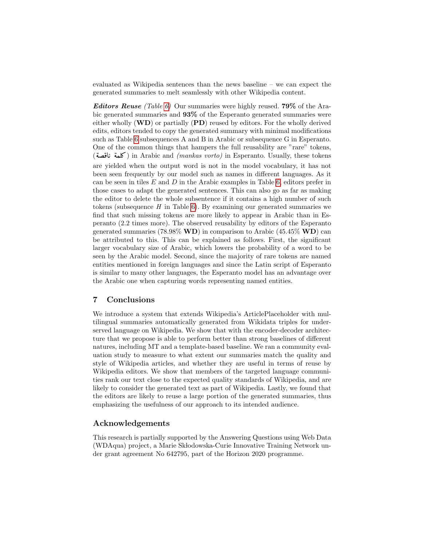evaluated as Wikipedia sentences than the news baseline – we can expect the generated summaries to melt seamlessly with other Wikipedia content.

**Editors Reuse** (Table [6\)](#page-11-0) Our summaries were highly reused. 79% of the Arabic generated summaries and 93% of the Esperanto generated summaries were either wholly  $(WD)$  or partially  $(PD)$  reused by editors. For the wholly derived edits, editors tended to copy the generated summary with minimal modifications such as Table [6](#page-11-0) subsequences A and B in Arabic or subsequence G in Esperanto. One of the common things that hampers the full reusability are "rare" tokens, One of the common things that hampers the full reusability are "rare" tokens,<br>( كلمة ناقصة) in Arabic and *(mankas vorto)* in Esperanto. Usually, these tokens  $\overline{a}$  $\overline{\phantom{a}}$ ر<br>ز  $\frac{1}{2}$ are yielded when the output word is not in the model vocabulary, it has not been seen frequently by our model such as names in different languages. As it can be seen in tiles  $E$  and  $D$  in the Arabic examples in Table [6,](#page-11-0) editors prefer in those cases to adapt the generated sentences. This can also go as far as making the editor to delete the whole subsentence if it contains a high number of such tokens (subsequence  $H$  in Table [6\)](#page-11-0). By examining our generated summaries we find that such missing tokens are more likely to appear in Arabic than in Esperanto (2.2 times more). The observed reusability by editors of the Esperanto generated summaries (78.98% WD) in comparison to Arabic (45.45% WD) can be attributed to this. This can be explained as follows. First, the significant larger vocabulary size of Arabic, which lowers the probability of a word to be seen by the Arabic model. Second, since the majority of rare tokens are named entities mentioned in foreign languages and since the Latin script of Esperanto is similar to many other languages, the Esperanto model has an advantage over the Arabic one when capturing words representing named entities.

# 7 Conclusions

We introduce a system that extends Wikipedia's ArticlePlaceholder with multilingual summaries automatically generated from Wikidata triples for underserved language on Wikipedia. We show that with the encoder-decoder architecture that we propose is able to perform better than strong baselines of different natures, including MT and a template-based baseline. We ran a community evaluation study to measure to what extent our summaries match the quality and style of Wikipedia articles, and whether they are useful in terms of reuse by Wikipedia editors. We show that members of the targeted language communities rank our text close to the expected quality standards of Wikipedia, and are likely to consider the generated text as part of Wikipedia. Lastly, we found that the editors are likely to reuse a large portion of the generated summaries, thus emphasizing the usefulness of our approach to its intended audience.

## Acknowledgements

This research is partially supported by the Answering Questions using Web Data (WDAqua) project, a Marie Skłodowska-Curie Innovative Training Network under grant agreement No 642795, part of the Horizon 2020 programme.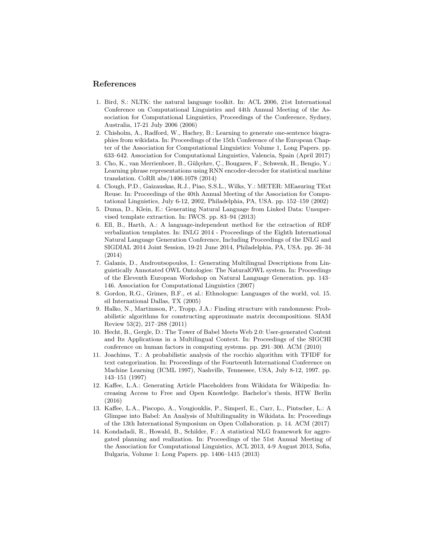## References

- <span id="page-13-10"></span>1. Bird, S.: NLTK: the natural language toolkit. In: ACL 2006, 21st International Conference on Computational Linguistics and 44th Annual Meeting of the Association for Computational Linguistics, Proceedings of the Conference, Sydney, Australia, 17-21 July 2006 (2006)
- <span id="page-13-5"></span>2. Chisholm, A., Radford, W., Hachey, B.: Learning to generate one-sentence biographies from wikidata. In: Proceedings of the 15th Conference of the European Chapter of the Association for Computational Linguistics: Volume 1, Long Papers. pp. 633–642. Association for Computational Linguistics, Valencia, Spain (April 2017)
- <span id="page-13-6"></span>3. Cho, K., van Merrienboer, B., Gülçehre, Ç., Bougares, F., Schwenk, H., Bengio, Y.: Learning phrase representations using RNN encoder-decoder for statistical machine translation. CoRR abs/1406.1078 (2014)
- <span id="page-13-8"></span>4. Clough, P.D., Gaizauskas, R.J., Piao, S.S.L., Wilks, Y.: METER: MEasuring TExt Reuse. In: Proceedings of the 40th Annual Meeting of the Association for Computational Linguistics, July 6-12, 2002, Philadelphia, PA, USA. pp. 152–159 (2002)
- <span id="page-13-3"></span>5. Duma, D., Klein, E.: Generating Natural Language from Linked Data: Unsupervised template extraction. In: IWCS. pp. 83–94 (2013)
- <span id="page-13-4"></span>6. Ell, B., Harth, A.: A language-independent method for the extraction of RDF verbalization templates. In: INLG 2014 - Proceedings of the Eighth International Natural Language Generation Conference, Including Proceedings of the INLG and SIGDIAL 2014 Joint Session, 19-21 June 2014, Philadelphia, PA, USA. pp. 26–34 (2014)
- <span id="page-13-2"></span>7. Galanis, D., Androutsopoulos, I.: Generating Multilingual Descriptions from Linguistically Annotated OWL Ontologies: The NaturalOWL system. In: Proceedings of the Eleventh European Workshop on Natural Language Generation. pp. 143– 146. Association for Computational Linguistics (2007)
- <span id="page-13-1"></span>8. Gordon, R.G., Grimes, B.F., et al.: Ethnologue: Languages of the world, vol. 15. sil International Dallas, TX (2005)
- <span id="page-13-13"></span>9. Halko, N., Martinsson, P., Tropp, J.A.: Finding structure with randomness: Probabilistic algorithms for constructing approximate matrix decompositions. SIAM Review 53(2), 217–288 (2011)
- <span id="page-13-11"></span>10. Hecht, B., Gergle, D.: The Tower of Babel Meets Web 2.0: User-generated Content and Its Applications in a Multilingual Context. In: Proceedings of the SIGCHI conference on human factors in computing systems. pp. 291–300. ACM (2010)
- <span id="page-13-12"></span>11. Joachims, T.: A probabilistic analysis of the rocchio algorithm with TFIDF for text categorization. In: Proceedings of the Fourteenth International Conference on Machine Learning (ICML 1997), Nashville, Tennessee, USA, July 8-12, 1997. pp. 143–151 (1997)
- <span id="page-13-0"></span>12. Kaffee, L.A.: Generating Article Placeholders from Wikidata for Wikipedia: Increasing Access to Free and Open Knowledge. Bachelor's thesis, HTW Berlin (2016)
- <span id="page-13-9"></span>13. Kaffee, L.A., Piscopo, A., Vougiouklis, P., Simperl, E., Carr, L., Pintscher, L.: A Glimpse into Babel: An Analysis of Multilinguality in Wikidata. In: Proceedings of the 13th International Symposium on Open Collaboration. p. 14. ACM (2017)
- <span id="page-13-7"></span>14. Kondadadi, R., Howald, B., Schilder, F.: A statistical NLG framework for aggregated planning and realization. In: Proceedings of the 51st Annual Meeting of the Association for Computational Linguistics, ACL 2013, 4-9 August 2013, Sofia, Bulgaria, Volume 1: Long Papers. pp. 1406–1415 (2013)